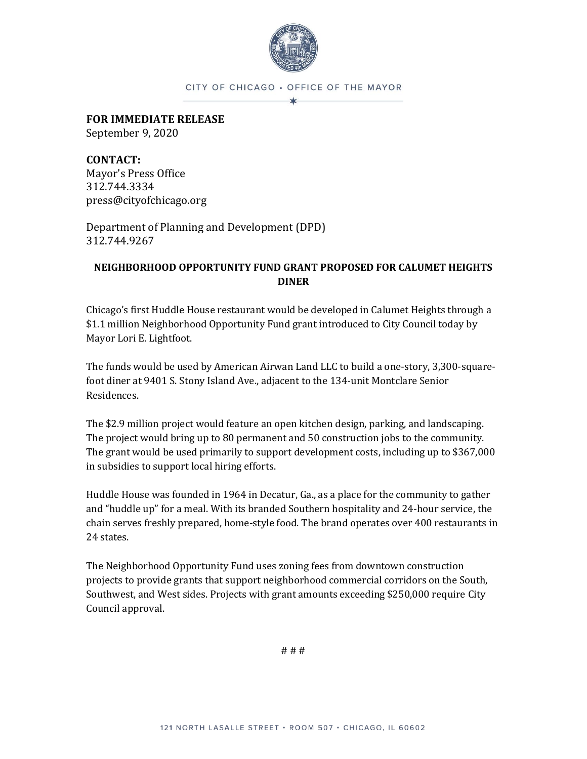

#### CITY OF CHICAGO . OFFICE OF THE MAYOR

**FOR IMMEDIATE RELEASE**

September 9, 2020

**CONTACT:**  Mayor's Press Office 312.744.3334 press@cityofchicago.org

Department of Planning and Development (DPD) 312.744.9267

# **NEIGHBORHOOD OPPORTUNITY FUND GRANT PROPOSED FOR CALUMET HEIGHTS DINER**

Chicago's first Huddle House restaurant would be developed in Calumet Heights through a \$1.1 million Neighborhood Opportunity Fund grant introduced to City Council today by Mayor Lori E. Lightfoot.

The funds would be used by American Airwan Land LLC to build a one-story, 3,300-squarefoot diner at 9401 S. Stony Island Ave., adjacent to the 134-unit Montclare Senior Residences.

The \$2.9 million project would feature an open kitchen design, parking, and landscaping. The project would bring up to 80 permanent and 50 construction jobs to the community. The grant would be used primarily to support development costs, including up to \$367,000 in subsidies to support local hiring efforts.

Huddle House was founded in 1964 in Decatur, Ga., as a place for the community to gather and "huddle up" for a meal. With its branded Southern hospitality and 24-hour service, the chain serves freshly prepared, home-style food. The brand operates over 400 restaurants in 24 states.

The Neighborhood Opportunity Fund uses zoning fees from downtown construction projects to provide grants that support neighborhood commercial corridors on the South, Southwest, and West sides. Projects with grant amounts exceeding \$250,000 require City Council approval.

# # #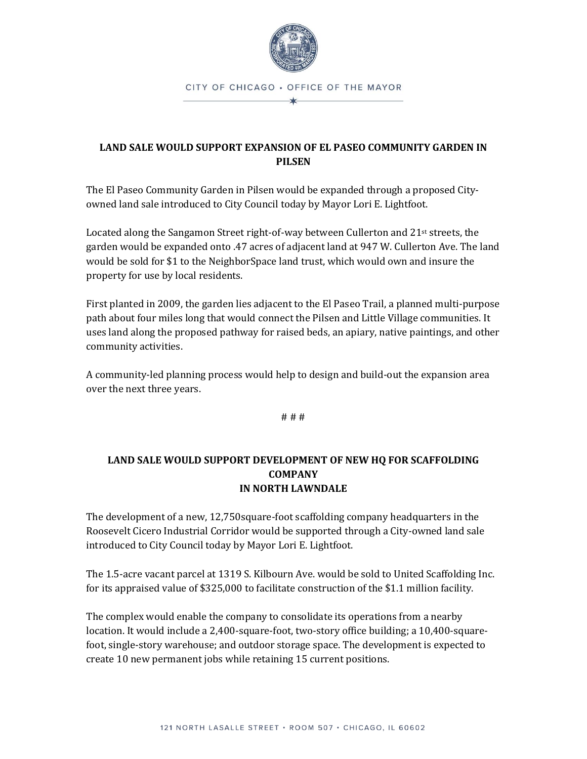

# **LAND SALE WOULD SUPPORT EXPANSION OF EL PASEO COMMUNITY GARDEN IN PILSEN**

The El Paseo Community Garden in Pilsen would be expanded through a proposed Cityowned land sale introduced to City Council today by Mayor Lori E. Lightfoot.

Located along the Sangamon Street right-of-way between Cullerton and  $21st$  streets, the garden would be expanded onto .47 acres of adjacent land at 947 W. Cullerton Ave. The land would be sold for \$1 to the NeighborSpace land trust, which would own and insure the property for use by local residents.

First planted in 2009, the garden lies adjacent to the El Paseo Trail, a planned multi-purpose path about four miles long that would connect the Pilsen and Little Village communities. It uses land along the proposed pathway for raised beds, an apiary, native paintings, and other community activities.

A community-led planning process would help to design and build-out the expansion area over the next three years.

# # #

# **LAND SALE WOULD SUPPORT DEVELOPMENT OF NEW HQ FOR SCAFFOLDING COMPANY IN NORTH LAWNDALE**

The development of a new, 12,750square-foot scaffolding company headquarters in the Roosevelt Cicero Industrial Corridor would be supported through a City-owned land sale introduced to City Council today by Mayor Lori E. Lightfoot.

The 1.5-acre vacant parcel at 1319 S. Kilbourn Ave. would be sold to United Scaffolding Inc. for its appraised value of \$325,000 to facilitate construction of the \$1.1 million facility.

The complex would enable the company to consolidate its operations from a nearby location. It would include a 2,400-square-foot, two-story office building; a 10,400-squarefoot, single-story warehouse; and outdoor storage space. The development is expected to create 10 new permanent jobs while retaining 15 current positions.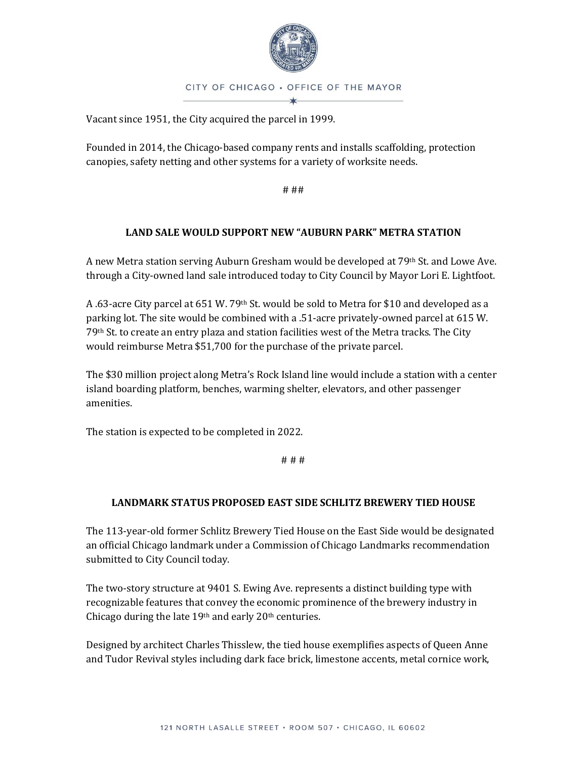

Vacant since 1951, the City acquired the parcel in 1999.

Founded in 2014, the Chicago-based company rents and installs scaffolding, protection canopies, safety netting and other systems for a variety of worksite needs.

# ##

## **LAND SALE WOULD SUPPORT NEW "AUBURN PARK" METRA STATION**

A new Metra station serving Auburn Gresham would be developed at 79th St. and Lowe Ave. through a City-owned land sale introduced today to City Council by Mayor Lori E. Lightfoot.

A .63-acre City parcel at 651 W. 79<sup>th</sup> St. would be sold to Metra for \$10 and developed as a parking lot. The site would be combined with a .51-acre privately-owned parcel at 615 W. 79th St. to create an entry plaza and station facilities west of the Metra tracks. The City would reimburse Metra \$51,700 for the purchase of the private parcel.

The \$30 million project along Metra's Rock Island line would include a station with a center island boarding platform, benches, warming shelter, elevators, and other passenger amenities.

The station is expected to be completed in 2022.

# # #

### **LANDMARK STATUS PROPOSED EAST SIDE SCHLITZ BREWERY TIED HOUSE**

The 113-year-old former Schlitz Brewery Tied House on the East Side would be designated an official Chicago landmark under a Commission of Chicago Landmarks recommendation submitted to City Council today.

The two-story structure at 9401 S. Ewing Ave. represents a distinct building type with recognizable features that convey the economic prominence of the brewery industry in Chicago during the late 19th and early 20th centuries.

Designed by architect Charles Thisslew, the tied house exemplifies aspects of Queen Anne and Tudor Revival styles including dark face brick, limestone accents, metal cornice work,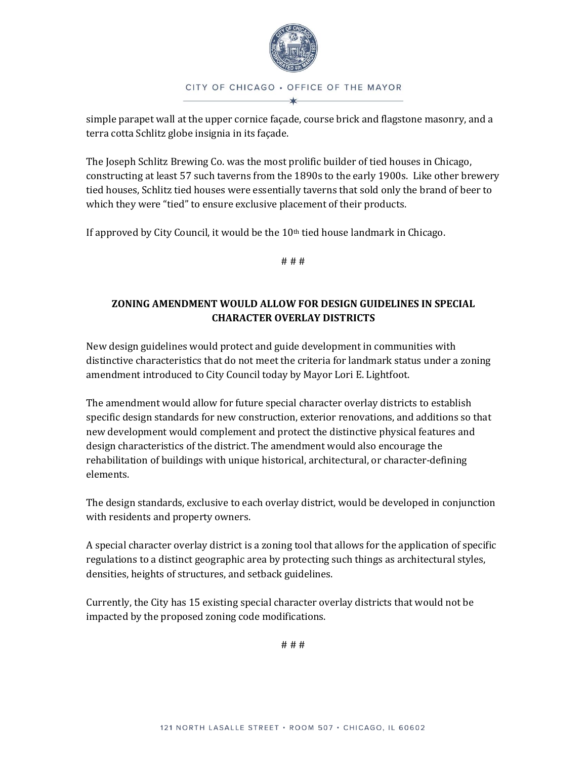

# CITY OF CHICAGO . OFFICE OF THE MAYOR

simple parapet wall at the upper cornice façade, course brick and flagstone masonry, and a terra cotta Schlitz globe insignia in its façade.

The Joseph Schlitz Brewing Co. was the most prolific builder of tied houses in Chicago, constructing at least 57 such taverns from the 1890s to the early 1900s. Like other brewery tied houses, Schlitz tied houses were essentially taverns that sold only the brand of beer to which they were "tied" to ensure exclusive placement of their products.

If approved by City Council, it would be the  $10<sup>th</sup>$  tied house landmark in Chicago.

# # #

# **ZONING AMENDMENT WOULD ALLOW FOR DESIGN GUIDELINES IN SPECIAL CHARACTER OVERLAY DISTRICTS**

New design guidelines would protect and guide development in communities with distinctive characteristics that do not meet the criteria for landmark status under a zoning amendment introduced to City Council today by Mayor Lori E. Lightfoot.

The amendment would allow for future special character overlay districts to establish specific design standards for new construction, exterior renovations, and additions so that new development would complement and protect the distinctive physical features and design characteristics of the district. The amendment would also encourage the rehabilitation of buildings with unique historical, architectural, or character-defining elements.

The design standards, exclusive to each overlay district, would be developed in conjunction with residents and property owners.

A special character overlay district is a zoning tool that allows for the application of specific regulations to a distinct geographic area by protecting such things as architectural styles, densities, heights of structures, and setback guidelines.

Currently, the City has 15 existing special character overlay districts that would not be impacted by the proposed zoning code modifications.

# # #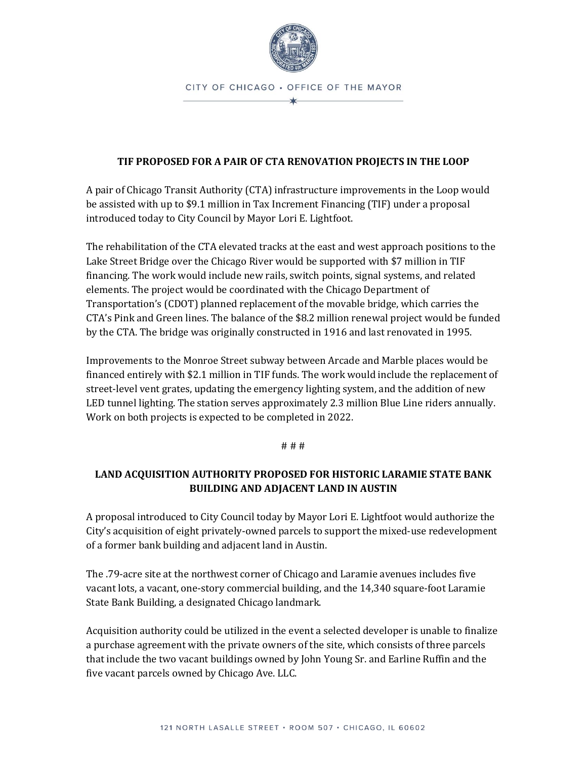

### **TIF PROPOSED FOR A PAIR OF CTA RENOVATION PROJECTS IN THE LOOP**

A pair of Chicago Transit Authority (CTA) infrastructure improvements in the Loop would be assisted with up to \$9.1 million in Tax Increment Financing (TIF) under a proposal introduced today to City Council by Mayor Lori E. Lightfoot.

The rehabilitation of the CTA elevated tracks at the east and west approach positions to the Lake Street Bridge over the Chicago River would be supported with \$7 million in TIF financing. The work would include new rails, switch points, signal systems, and related elements. The project would be coordinated with the Chicago Department of Transportation's (CDOT) planned replacement of the movable bridge, which carries the CTA's Pink and Green lines. The balance of the \$8.2 million renewal project would be funded by the CTA. The bridge was originally constructed in 1916 and last renovated in 1995.

Improvements to the Monroe Street subway between Arcade and Marble places would be financed entirely with \$2.1 million in TIF funds. The work would include the replacement of street-level vent grates, updating the emergency lighting system, and the addition of new LED tunnel lighting. The station serves approximately 2.3 million Blue Line riders annually. Work on both projects is expected to be completed in 2022.

### # # #

# **LAND ACQUISITION AUTHORITY PROPOSED FOR HISTORIC LARAMIE STATE BANK BUILDING AND ADJACENT LAND IN AUSTIN**

A proposal introduced to City Council today by Mayor Lori E. Lightfoot would authorize the City's acquisition of eight privately-owned parcels to support the mixed-use redevelopment of a former bank building and adjacent land in Austin.

The .79-acre site at the northwest corner of Chicago and Laramie avenues includes five vacant lots, a vacant, one-story commercial building, and the 14,340 square-foot Laramie State Bank Building, a designated Chicago landmark.

Acquisition authority could be utilized in the event a selected developer is unable to finalize a purchase agreement with the private owners of the site, which consists of three parcels that include the two vacant buildings owned by John Young Sr. and Earline Ruffin and the five vacant parcels owned by Chicago Ave. LLC.